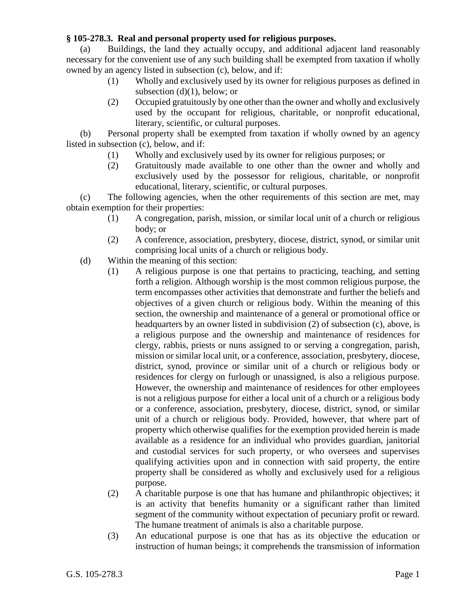## **§ 105-278.3. Real and personal property used for religious purposes.**

(a) Buildings, the land they actually occupy, and additional adjacent land reasonably necessary for the convenient use of any such building shall be exempted from taxation if wholly owned by an agency listed in subsection (c), below, and if:

- (1) Wholly and exclusively used by its owner for religious purposes as defined in subsection  $(d)(1)$ , below; or
- (2) Occupied gratuitously by one other than the owner and wholly and exclusively used by the occupant for religious, charitable, or nonprofit educational, literary, scientific, or cultural purposes.

(b) Personal property shall be exempted from taxation if wholly owned by an agency listed in subsection (c), below, and if:

- (1) Wholly and exclusively used by its owner for religious purposes; or
- (2) Gratuitously made available to one other than the owner and wholly and exclusively used by the possessor for religious, charitable, or nonprofit educational, literary, scientific, or cultural purposes.

(c) The following agencies, when the other requirements of this section are met, may obtain exemption for their properties:

- (1) A congregation, parish, mission, or similar local unit of a church or religious body; or
- (2) A conference, association, presbytery, diocese, district, synod, or similar unit comprising local units of a church or religious body.
- (d) Within the meaning of this section:
	- (1) A religious purpose is one that pertains to practicing, teaching, and setting forth a religion. Although worship is the most common religious purpose, the term encompasses other activities that demonstrate and further the beliefs and objectives of a given church or religious body. Within the meaning of this section, the ownership and maintenance of a general or promotional office or headquarters by an owner listed in subdivision (2) of subsection (c), above, is a religious purpose and the ownership and maintenance of residences for clergy, rabbis, priests or nuns assigned to or serving a congregation, parish, mission or similar local unit, or a conference, association, presbytery, diocese, district, synod, province or similar unit of a church or religious body or residences for clergy on furlough or unassigned, is also a religious purpose. However, the ownership and maintenance of residences for other employees is not a religious purpose for either a local unit of a church or a religious body or a conference, association, presbytery, diocese, district, synod, or similar unit of a church or religious body. Provided, however, that where part of property which otherwise qualifies for the exemption provided herein is made available as a residence for an individual who provides guardian, janitorial and custodial services for such property, or who oversees and supervises qualifying activities upon and in connection with said property, the entire property shall be considered as wholly and exclusively used for a religious purpose.
	- (2) A charitable purpose is one that has humane and philanthropic objectives; it is an activity that benefits humanity or a significant rather than limited segment of the community without expectation of pecuniary profit or reward. The humane treatment of animals is also a charitable purpose.
	- (3) An educational purpose is one that has as its objective the education or instruction of human beings; it comprehends the transmission of information